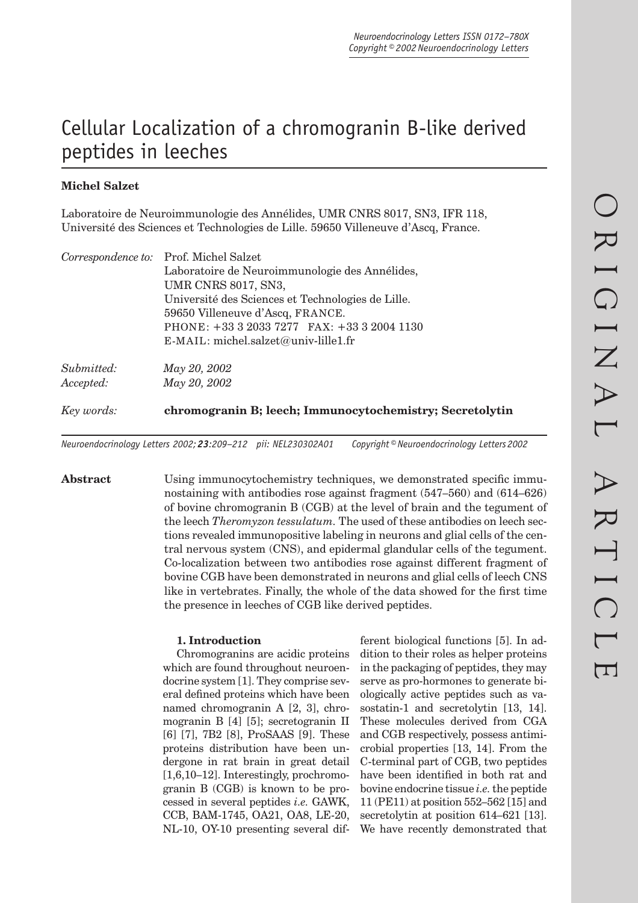# Cellular Localization of a chromogranin B-like derived peptides in leeches

# **Michel Salzet**

Laboratoire de Neuroimmunologie des Annélides, UMR CNRS 8017, SN3, IFR 118, Université des Sciences et Technologies de Lille. 59650 Villeneuve d'Ascq, France.

| Laboratoire de Neuroimmunologie des Annélides,                                        |
|---------------------------------------------------------------------------------------|
|                                                                                       |
| Université des Sciences et Technologies de Lille.<br>59650 Villeneuve d'Ascq, FRANCE. |
|                                                                                       |
|                                                                                       |
|                                                                                       |
|                                                                                       |
|                                                                                       |
| chromogranin B; leech; Immunocytochemistry; Secretolytin                              |
|                                                                                       |

*Neuroendocrinology Letters 2002; 23:209–212 pii: NEL230302A01 Copyright © Neuroendocrinology Letters 2002*

Abstract Using immunocytochemistry techniques, we demonstrated specific immunostaining with antibodies rose against fragment (547–560) and (614–626) of bovine chromogranin B (CGB) at the level of brain and the tegument of the leech *Theromyzon tessulatum.* The used of these antibodies on leech sections revealed immunopositive labeling in neurons and glial cells of the central nervous system (CNS), and epidermal glandular cells of the tegument. Co-localization between two antibodies rose against different fragment of bovine CGB have been demonstrated in neurons and glial cells of leech CNS like in vertebrates. Finally, the whole of the data showed for the first time the presence in leeches of CGB like derived peptides.

#### **1. Introduction**

Chromogranins are acidic proteins which are found throughout neuroendocrine system [1]. They comprise several defined proteins which have been named chromogranin A [2, 3], chromogranin B [4] [5]; secretogranin II [6] [7], 7B2 [8], ProSAAS [9]. These proteins distribution have been undergone in rat brain in great detail [1,6,10–12]. Interestingly, prochromogranin B (CGB) is known to be processed in several peptides *i.e.* GAWK, CCB, BAM-1745, OA21, OA8, LE-20, NL-10, OY-10 presenting several dif-

ferent biological functions [5]. In addition to their roles as helper proteins in the packaging of peptides, they may serve as pro-hormones to generate biologically active peptides such as vasostatin-1 and secretolytin [13, 14]. These molecules derived from CGA and CGB respectively, possess antimicrobial properties [13, 14]. From the C-terminal part of CGB, two peptides have been identified in both rat and bovine endocrine tissue *i.e.* the peptide 11 (PE11) at position 552–562 [15] and secretolytin at position 614–621 [13]. We have recently demonstrated that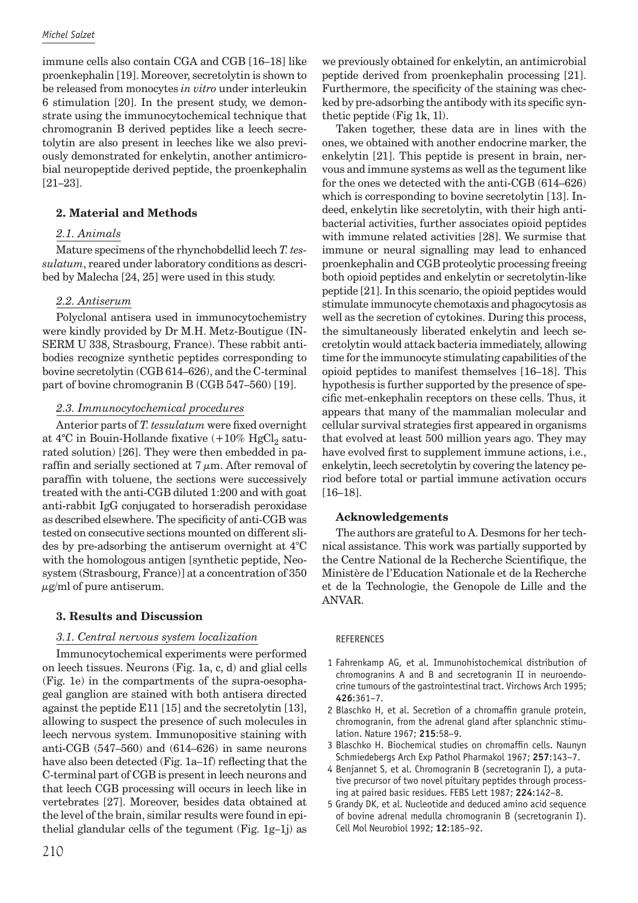immune cells also contain CGA and CGB [16–18] like proenkephalin [19]. Moreover, secretolytin is shown to be released from monocytes *in vitro* under interleukin 6 stimulation [20]. In the present study, we demonstrate using the immunocytochemical technique that chromogranin B derived peptides like a leech secretolytin are also present in leeches like we also previously demonstrated for enkelytin, another antimicrobial neuropeptide derived peptide, the proenkephalin [21–23].

### **2. Material and Methods**

#### *2.1. Animals*

Mature specimens of the rhynchobdellid leech *T. tessulatum*, reared under laboratory conditions as described by Malecha [24, 25] were used in this study.

## *2.2. Antiserum*

Polyclonal antisera used in immunocytochemistry were kindly provided by Dr M.H. Metz-Boutigue (IN-SERM U 338, Strasbourg, France). These rabbit antibodies recognize synthetic peptides corresponding to bovine secretolytin (CGB 614–626), and the C-terminal part of bovine chromogranin B (CGB 547–560) [19].

#### *2.3. Immunocytochemical procedures*

Anterior parts of *T. tessulatum* were fixed overnight at 4°C in Bouin-Hollande fixative  $(+10\% \text{ HgCl}_2 \text{ satu-}$ rated solution) [26]. They were then embedded in paraffin and serially sectioned at  $7 \mu m$ . After removal of paraffin with toluene, the sections were successively treated with the anti-CGB diluted 1:200 and with goat anti-rabbit IgG conjugated to horseradish peroxidase as described elsewhere. The specificity of anti-CGB was tested on consecutive sections mounted on different slides by pre-adsorbing the antiserum overnight at 4°C with the homologous antigen [synthetic peptide, Neosystem (Strasbourg, France)] at a concentration of 350  $\mu$ g/ml of pure antiserum.

#### **3. Results and Discussion**

#### *3.1. Central nervous system localization*

Immunocytochemical experiments were performed on leech tissues. Neurons (Fig. 1a, c, d) and glial cells (Fig. 1e) in the compartments of the supra-oesophageal ganglion are stained with both antisera directed against the peptide E11 [15] and the secretolytin [13], allowing to suspect the presence of such molecules in leech nervous system. Immunopositive staining with anti-CGB (547–560) and (614–626) in same neurons have also been detected (Fig. 1a–1f) reflecting that the C-terminal part of CGB is present in leech neurons and that leech CGB processing will occurs in leech like in vertebrates [27]. Moreover, besides data obtained at the level of the brain, similar results were found in epithelial glandular cells of the tegument (Fig. 1g–1j) as we previously obtained for enkelytin, an antimicrobial peptide derived from proenkephalin processing [21]. Furthermore, the specificity of the staining was checked by pre-adsorbing the antibody with its specific synthetic peptide (Fig 1k, 1l).

Taken together, these data are in lines with the ones, we obtained with another endocrine marker, the enkelytin [21]. This peptide is present in brain, nervous and immune systems as well as the tegument like for the ones we detected with the anti-CGB (614–626) which is corresponding to bovine secretolytin [13]. Indeed, enkelytin like secretolytin, with their high antibacterial activities, further associates opioid peptides with immune related activities [28]. We surmise that immune or neural signalling may lead to enhanced proenkephalin and CGB proteolytic processing freeing both opioid peptides and enkelytin or secretolytin-like peptide [21]. In this scenario, the opioid peptides would stimulate immunocyte chemotaxis and phagocytosis as well as the secretion of cytokines. During this process, the simultaneously liberated enkelytin and leech secretolytin would attack bacteria immediately, allowing time for the immunocyte stimulating capabilities of the opioid peptides to manifest themselves [16–18]. This hypothesis is further supported by the presence of specific met-enkephalin receptors on these cells. Thus, it appears that many of the mammalian molecular and cellular survival strategies first appeared in organisms that evolved at least 500 million years ago. They may have evolved first to supplement immune actions, i.e., enkelytin, leech secretolytin by covering the latency period before total or partial immune activation occurs [16–18].

#### **Acknowledgements**

The authors are grateful to A. Desmons for her technical assistance. This work was partially supported by the Centre National de la Recherche Scientifique, the Ministère de l'Education Nationale et de la Recherche et de la Technologie, the Genopole de Lille and the ANVAR.

#### REFERENCES

- 1 Fahrenkamp AG, et al. Immunohistochemical distribution of chromogranins A and B and secretogranin II in neuroendocrine tumours of the gastrointestinal tract. Virchows Arch 1995; **426**:361–7.
- 2 Blaschko H, et al. Secretion of a chromaffin granule protein, chromogranin, from the adrenal gland after splanchnic stimulation. Nature 1967; **215**:58–9.
- 3 Blaschko H. Biochemical studies on chromaffin cells. Naunyn Schmiedebergs Arch Exp Pathol Pharmakol 1967; **257**:143–7.
- 4 Benjannet S, et al. Chromogranin B (secretogranin I), a putative precursor of two novel pituitary peptides through processing at paired basic residues. FEBS Lett 1987; **224**:142–8.
- 5 Grandy DK, et al. Nucleotide and deduced amino acid sequence of bovine adrenal medulla chromogranin B (secretogranin I). Cell Mol Neurobiol 1992; **12**:185–92.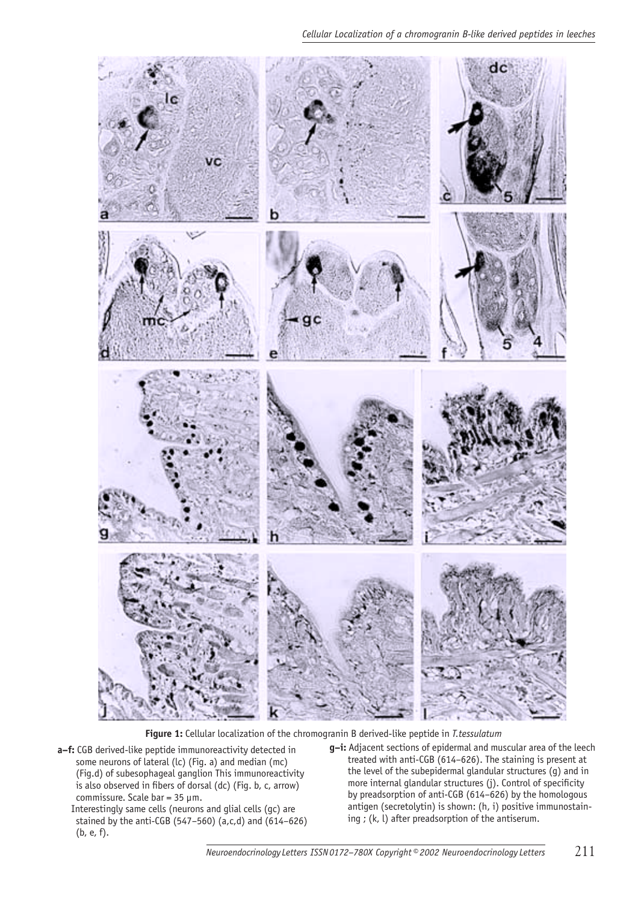

 **Figure 1:** Cellular localization of the chromogranin B derived-like peptide in *T.tessulatum*

- **a–f:** CGB derived-like peptide immunoreactivity detected in some neurons of lateral (lc) (Fig. a) and median (mc) (Fig.d) of subesophageal ganglion This immunoreactivity is also observed in fibers of dorsal (dc) (Fig. b, c, arrow) commissure. Scale bar = 35 µm.
	- Interestingly same cells (neurons and glial cells (gc) are stained by the anti-CGB (547–560) (a,c,d) and (614–626) (b, e, f).
- **g–i:** Adjacent sections of epidermal and muscular area of the leech treated with anti-CGB (614–626). The staining is present at the level of the subepidermal glandular structures (g) and in more internal glandular structures (j). Control of specificity by preadsorption of anti-CGB (614–626) by the homologous antigen (secretolytin) is shown: (h, i) positive immunostaining ; (k, l) after preadsorption of the antiserum.